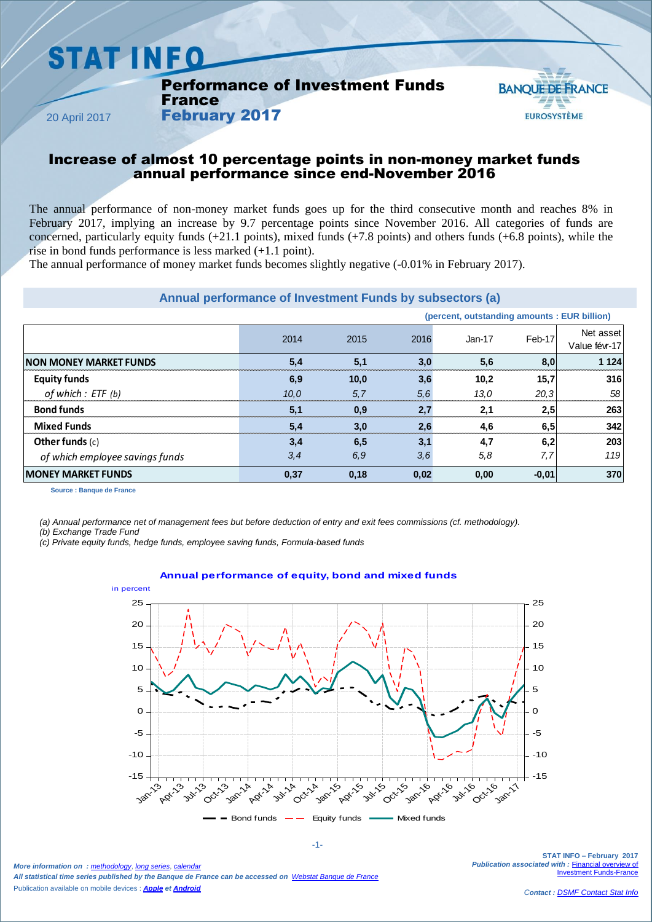# **STAT INFO**

Performance of Investment Funds **France** 

February 2017



20 April 2017

## Increase of almost 10 percentage points in non-money market funds annual performance since end-November 2016

The annual performance of non-money market funds goes up for the third consecutive month and reaches 8% in February 2017, implying an increase by 9.7 percentage points since November 2016. All categories of funds are concerned, particularly equity funds  $(+21.1 \text{ points})$ , mixed funds  $(+7.8 \text{ points})$  and others funds  $(+6.8 \text{ points})$ , while the rise in bond funds performance is less marked (+1.1 point).

The annual performance of money market funds becomes slightly negative (-0.01% in February 2017).

#### **Annual performance of Investment Funds by subsectors (a)**

|                                 |      |      |      | (percent, outstanding amounts : EUR billion) |         |                            |
|---------------------------------|------|------|------|----------------------------------------------|---------|----------------------------|
|                                 | 2014 | 2015 | 2016 | Jan-17                                       | Feb-17  | Net asset<br>Value févr-17 |
| <b>INON MONEY MARKET FUNDS</b>  | 5,4  | 5,1  | 3,0  | 5,6                                          | 8,0     | 1 1 2 4                    |
| <b>Equity funds</b>             | 6,9  | 10,0 | 3,6  | 10,2                                         | 15,7    | 316                        |
| of which : ETF (b)              | 10,0 | 5,7  | 5,6  | 13,0                                         | 20,3    | 58 <sub>1</sub>            |
| <b>Bond funds</b>               | 5,1  | 0,9  | 2,7  | 2,1                                          | 2,5     | 263                        |
| <b>Mixed Funds</b>              | 5,4  | 3,0  | 2,6  | 4,6                                          | 6,5     | 342                        |
| Other funds $(c)$               | 3,4  | 6,5  | 3,1  | 4,7                                          | 6,2     | 203                        |
| of which employee savings funds | 3,4  | 6,9  | 3,6  | 5,8                                          | 7,7     | 119                        |
| <b>IMONEY MARKET FUNDS</b>      | 0,37 | 0,18 | 0,02 | 0,00                                         | $-0,01$ | 370                        |

**Source : Banque de France**

*(a) Annual performance net of management fees but before deduction of entry and exit fees commissions (cf. methodology).*

*(b) Exchange Trade Fund*

*(c) Private equity funds, hedge funds, employee saving funds, Formula-based funds*



**Annual performance of equity, bond and mixed funds**

*More information on : [methodology](https://www.banque-france.fr/en/node/21464)*, *[long series](http://webstat.banque-france.fr/en/browse.do?node=5384218)*, *[calendar](https://www.banque-france.fr/en/statistics/calendar) All statistical time series published by the Banque de France can be accessed on [Webstat Banque de France](http://webstat.banque-france.fr/en/)* Publication available on mobile devices : *[Apple](https://itunes.apple.com/fr/app/banquefrance/id663817914?mt=8) e[t Android](https://play.google.com/store/apps/details?id=fr.bdf.mobile&feature=search_result#?t=W251bGwsMSwyLDEsImZyLmJkZi5tb2JpbGUiXQ)*

-1-

**STAT INFO – February 2017** *Publication associated with :* [Financial overview of](https://www.banque-france.fr/en/node/4206)  **Imant Funds-France**